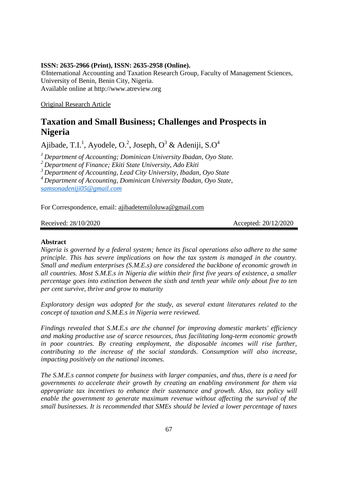## **ISSN: 2635-2966 (Print), ISSN: 2635-2958 (Online).**

**©**International Accounting and Taxation Research Group, Faculty of Management Sciences, University of Benin, Benin City, Nigeria. Available online at http://www.atreview.org

Original Research Article

# **Taxation and Small Business; Challenges and Prospects in Nigeria**

Ajibade, T.I.<sup>1</sup>, Ayodele, O.<sup>2</sup>, Joseph, O<sup>3</sup> & Adeniji, S.O<sup>4</sup>

*Department of Accounting; Dominican University Ibadan, Oyo State. Department of Finance; Ekiti State University, Ado Ekiti Department of Accounting, Lead City University, Ibadan, Oyo State Department of Accounting, Dominican University Ibadan, Oyo State, [samsonadeniji05@gmail.com](mailto:samsonadeniji05@gmail.com)*

For Correspondence, email: [ajibadetemiloluwa@gmail.com](mailto:ajibadetemiloluwa@gmail.com)

# Received: 28/10/2020 <br>
Accepted: 20/12/2020

## **Abstract**

*Nigeria is governed by a federal system; hence its fiscal operations also adhere to the same principle. This has severe implications on how the tax system is managed in the country. Small and medium enterprises (S.M.E.s) are considered the backbone of economic growth in all countries. Most S.M.E.s in Nigeria die within their first five years of existence, a smaller percentage goes into extinction between the sixth and tenth year while only about five to ten per cent survive, thrive and grow to maturity* 

*Exploratory design was adopted for the study, as several extant literatures related to the concept of taxation and S.M.E.s in Nigeria were reviewed.*

*Findings revealed that S.M.E.s are the channel for improving domestic markets' efficiency and making productive use of scarce resources, thus facilitating long-term economic growth in poor countries. By creating employment, the disposable incomes will rise further, contributing to the increase of the social standards. Consumption will also increase, impacting positively on the national incomes.*

*The S.M.E.s cannot compete for business with larger companies, and thus, there is a need for governments to accelerate their growth by creating an enabling environment for them via appropriate tax incentives to enhance their sustenance and growth. Also, tax policy will enable the government to generate maximum revenue without affecting the survival of the small businesses. It is recommended that SMEs should be levied a lower percentage of taxes*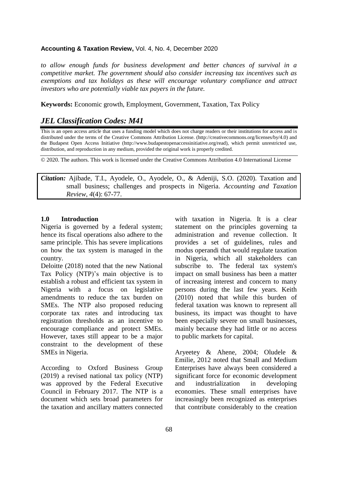#### **Accounting & Taxation Review,** Vol. 4, No. 4, December 2020

*to allow enough funds for business development and better chances of survival in a competitive market. The government should also consider increasing tax incentives such as exemptions and tax holidays as these will encourage voluntary compliance and attract investors who are potentially viable tax payers in the future.*

**Keywords:** Economic growth, Employment, Government, Taxation, Tax Policy

# *JEL Classification Codes: M41*

This is an open access article that uses a funding model which does not charge readers or their institutions for access and is distributed under the terms of the Creative Commons Attribution License. (http://creativecommons.org/licenses/by/4.0) and the Budapest Open Access Initiative (http://www.budapestopenaccessinitiative.org/read), which permit unrestricted use, distribution, and reproduction in any medium, provided the original work is properly credited.

© 2020. The authors. This work is licensed under the Creative Commons Attribution 4.0 International License

*Citation:* Ajibade, T.I., Ayodele, O., Ayodele, O., & Adeniji, S.O. (2020). Taxation and small business; challenges and prospects in Nigeria. *Accounting and Taxation Review, 4*(4): 67-77.

# **1.0 Introduction**

Nigeria is governed by a federal system; hence its fiscal operations also adhere to the same principle. This has severe implications on how the tax system is managed in the country.

Deloitte (2018) noted that the new National Tax Policy (NTP)'s main objective is to establish a robust and efficient tax system in Nigeria with a focus on legislative amendments to reduce the tax burden on SMEs. The NTP also proposed reducing corporate tax rates and introducing tax registration thresholds as an incentive to encourage compliance and protect SMEs. However, taxes still appear to be a major constraint to the development of these SMEs in Nigeria.

According to Oxford Business Group (2019) a revised national tax policy (NTP) was approved by the Federal Executive Council in February 2017. The NTP is a document which sets broad parameters for the taxation and ancillary matters connected

with taxation in Nigeria. It is a clear statement on the principles governing ta administration and revenue collection. It provides a set of guidelines, rules and modus operandi that would regulate taxation in Nigeria, which all stakeholders can subscribe to. The federal tax system's impact on small business has been a matter of increasing interest and concern to many persons during the last few years. Keith (2010) noted that while this burden of federal taxation was known to represent all business, its impact was thought to have been especially severe on small businesses, mainly because they had little or no access to public markets for capital.

Aryeetey & Ahene, 2004; Oludele & Emilie, 2012 noted that Small and Medium Enterprises have always been considered a significant force for economic development and industrialization in developing economies. These small enterprises have increasingly been recognized as enterprises that contribute considerably to the creation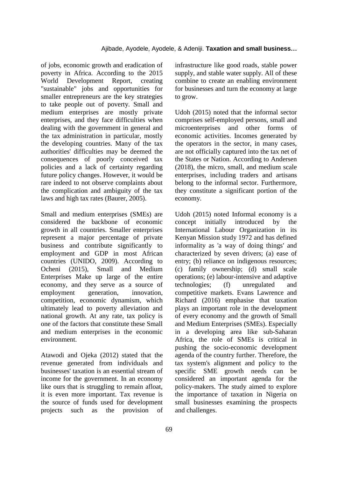of jobs, economic growth and eradication of poverty in Africa. According to the 2015 World Development Report, creating "sustainable" jobs and opportunities for smaller entrepreneurs are the key strategies to take people out of poverty. Small and medium enterprises are mostly private enterprises, and they face difficulties when dealing with the government in general and the tax administration in particular, mostly the developing countries. Many of the tax authorities' difficulties may be deemed the consequences of poorly conceived tax policies and a lack of certainty regarding future policy changes. However, it would be rare indeed to not observe complaints about the complication and ambiguity of the tax laws and high tax rates (Baurer, 2005).

Small and medium enterprises (SMEs) are considered the backbone of economic growth in all countries. Smaller enterprises represent a major percentage of private business and contribute significantly to employment and GDP in most African countries (UNIDO, 2009). According to Ocheni (2015), Small and Medium Enterprises Make up large of the entire economy, and they serve as a source of employment generation, innovation, competition, economic dynamism, which ultimately lead to poverty alleviation and national growth. At any rate, tax policy is one of the factors that constitute these Small and medium enterprises in the economic environment.

Atawodi and Ojeka (2012) stated that the revenue generated from individuals and businesses' taxation is an essential stream of income for the government. In an economy like ours that is struggling to remain afloat, it is even more important. Tax revenue is the source of funds used for development projects such as the provision of infrastructure like good roads, stable power supply, and stable water supply. All of these combine to create an enabling environment for businesses and turn the economy at large to grow.

Udoh (2015) noted that the informal sector comprises self-employed persons, small and microenterprises and other forms of economic activities. Incomes generated by the operators in the sector, in many cases, are not officially captured into the tax net of the States or Nation. According to Andersen (2018), the micro, small, and medium scale enterprises, including traders and artisans belong to the informal sector. Furthermore, they constitute a significant portion of the economy.

Udoh (2015) noted Informal economy is a concept initially introduced by the International Labour Organization in its Kenyan Mission study 1972 and has defined informality as 'a way of doing things' and characterized by seven drivers; (a) ease of entry; (b) reliance on indigenous resources; (c) family ownership; (d) small scale operations; (e) labour-intensive and adaptive technologies; (f) unregulated and competitive markets. Evans Lawrence and Richard (2016) emphasise that taxation plays an important role in the development of every economy and the growth of Small and Medium Enterprises (SMEs). Especially in a developing area like sub-Saharan Africa, the role of SMEs is critical in pushing the socio-economic development agenda of the country further. Therefore, the tax system's alignment and policy to the specific SME growth needs can be considered an important agenda for the policy-makers. The study aimed to explore the importance of taxation in Nigeria on small businesses examining the prospects and challenges.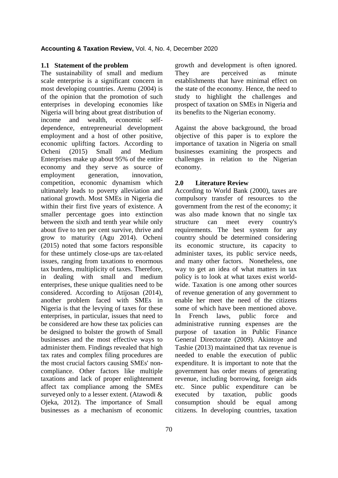#### **1.1 Statement of the problem**

The sustainability of small and medium scale enterprise is a significant concern in most developing countries. Aremu (2004) is of the opinion that the promotion of such enterprises in developing economies like Nigeria will bring about great distribution of income and wealth, economic selfdependence, entrepreneurial development employment and a host of other positive, economic uplifting factors. According to Ocheni (2015) Small and Medium Enterprises make up about 95% of the entire economy and they serve as source of employment generation, innovation, competition, economic dynamism which ultimately leads to poverty alleviation and national growth. Most SMEs in Nigeria die within their first five years of existence. A smaller percentage goes into extinction between the sixth and tenth year while only about five to ten per cent survive, thrive and grow to maturity (Agu 2014). Ocheni (2015) noted that some factors responsible for these untimely close-ups are tax-related issues, ranging from taxations to enormous tax burdens, multiplicity of taxes. Therefore, in dealing with small and medium enterprises, these unique qualities need to be considered. According to Atijosan (2014), another problem faced with SMEs in Nigeria is that the levying of taxes for these enterprises, in particular, issues that need to be considered are how these tax policies can be designed to bolster the growth of Small businesses and the most effective ways to administer them. Findings revealed that high tax rates and complex filing procedures are the most crucial factors causing SMEs' noncompliance. Other factors like multiple taxations and lack of proper enlightenment affect tax compliance among the SMEs surveyed only to a lesser extent. (Atawodi & Ojeka, 2012). The importance of Small businesses as a mechanism of economic

70

growth and development is often ignored. They are perceived as minute establishments that have minimal effect on the state of the economy. Hence, the need to study to highlight the challenges and prospect of taxation on SMEs in Nigeria and its benefits to the Nigerian economy.

Against the above background, the broad objective of this paper is to explore the importance of taxation in Nigeria on small businesses examining the prospects and challenges in relation to the Nigerian economy.

#### **2.0 Literature Review**

According to World Bank (2000), taxes are compulsory transfer of resources to the government from the rest of the economy; it was also made known that no single tax structure can meet every country's requirements. The best system for any country should be determined considering its economic structure, its capacity to administer taxes, its public service needs, and many other factors. Nonetheless, one way to get an idea of what matters in tax policy is to look at what taxes exist worldwide. Taxation is one among other sources of revenue generation of any government to enable her meet the need of the citizens some of which have been mentioned above. In French laws, public force and administrative running expenses are the purpose of taxation in Public Finance General Directorate (2009). Akintoye and Tashie (2013) maintained that tax revenue is needed to enable the execution of public expenditure. It is important to note that the government has order means of generating revenue, including borrowing, foreign aids etc. Since public expenditure can be executed by taxation, public goods consumption should be equal among citizens. In developing countries, taxation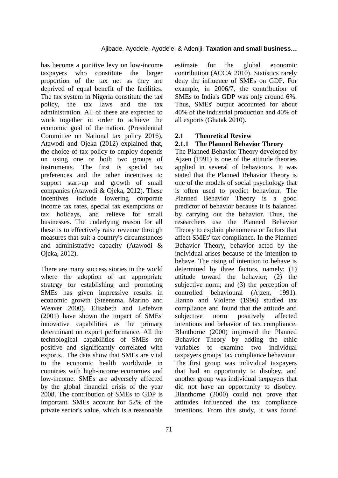has become a punitive levy on low-income taxpayers who constitute the larger proportion of the tax net as they are deprived of equal benefit of the facilities. The tax system in Nigeria constitute the tax policy, the tax laws and the tax administration. All of these are expected to work together in order to achieve the economic goal of the nation. (Presidential Committee on National tax policy 2016), Atawodi and Ojeka (2012) explained that, the choice of tax policy to employ depends on using one or both two groups of instruments. The first is special tax preferences and the other incentives to support start-up and growth of small companies (Atawodi & Ojeka, 2012). These incentives include lowering corporate income tax rates, special tax exemptions or tax holidays, and relieve for small businesses. The underlying reason for all these is to effectively raise revenue through measures that suit a country's circumstances and administrative capacity (Atawodi & Ojeka, 2012).

There are many success stories in the world where the adoption of an appropriate strategy for establishing and promoting SMEs has given impressive results in economic growth (Steensma, Marino and Weaver 2000). Elisabeth and Lefebvre (2001) have shown the impact of SMEs' innovative capabilities as the primary determinant on export performance. All the technological capabilities of SMEs are positive and significantly correlated with exports. The data show that SMEs are vital to the economic health worldwide in countries with high-income economies and low-income. SMEs are adversely affected by the global financial crisis of the year 2008. The contribution of SMEs to GDP is important. SMEs account for 52% of the private sector's value, which is a reasonable

estimate for the global economic contribution (ACCA 2010). Statistics rarely deny the influence of SMEs on GDP. For example, in 2006/7, the contribution of SMEs to India's GDP was only around 6%. Thus, SMEs' output accounted for about 40% of the industrial production and 40% of all exports (Ghatak 2010).

## **2.1 Theoretical Review**

# **2.1.1 The Planned Behavior Theory**

The Planned Behavior Theory developed by Ajzen (1991) is one of the attitude theories applied in several of behaviours. It was stated that the Planned Behavior Theory is one of the models of social psychology that is often used to predict behaviour. The Planned Behavior Theory is a good predictor of behavior because it is balanced by carrying out the behavior. Thus, the researchers use the Planned Behavior Theory to explain phenomena or factors that affect SMEs' tax compliance. In the Planned Behavior Theory, behavior acted by the individual arises because of the intention to behave. The rising of intention to behave is determined by three factors, namely: (1) attitude toward the behavior; (2) the subjective norm; and (3) the perception of controlled behavioural (Ajzen, 1991). Hanno and Violette (1996) studied tax compliance and found that the attitude and subjective norm positively affected intentions and behavior of tax compliance. Blanthorne (2000) improved the Planned Behavior Theory by adding the ethic variables to examine two individual taxpayers groups' tax compliance behaviour. The first group was individual taxpayers that had an opportunity to disobey, and another group was individual taxpayers that did not have an opportunity to disobey. Blanthorne (2000) could not prove that attitudes influenced the tax compliance intentions. From this study, it was found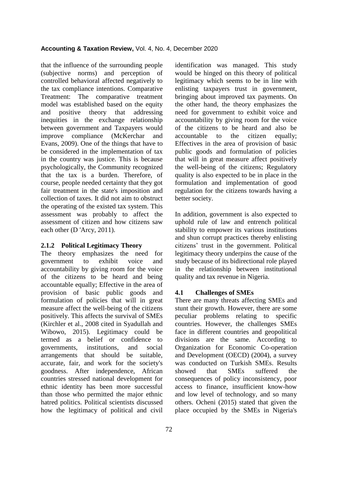that the influence of the surrounding people (subjective norms) and perception of controlled behavioral affected negatively to the tax compliance intentions. Comparative Treatment: The comparative treatment model was established based on the equity and positive theory that addressing inequities in the exchange relationship between government and Taxpayers would improve compliance (McKerchar and Evans, 2009). One of the things that have to be considered in the implementation of tax in the country was justice. This is because psychologically, the Community recognized that the tax is a burden. Therefore, of course, people needed certainty that they got fair treatment in the state's imposition and collection of taxes. It did not aim to obstruct the operating of the existed tax system. This assessment was probably to affect the assessment of citizen and how citizens saw each other (D 'Arcy, 2011).

#### **2.1.2 Political Legitimacy Theory**

The theory emphasizes the need for government to exhibit voice and accountability by giving room for the voice of the citizens to be heard and being accountable equally; Effective in the area of provision of basic public goods and formulation of policies that will in great measure affect the well-being of the citizens positively. This affects the survival of SMEs (Kirchler et al., 2008 cited in Syadullah and Wibowo, 2015). Legitimacy could be termed as a belief or confidence to governments, institutions, and social arrangements that should be suitable, accurate, fair, and work for the society's goodness. After independence, African countries stressed national development for ethnic identity has been more successful than those who permitted the major ethnic hatred politics. Political scientists discussed how the legitimacy of political and civil

identification was managed. This study would be hinged on this theory of political legitimacy which seems to be in line with enlisting taxpayers trust in government, bringing about improved tax payments. On the other hand, the theory emphasizes the need for government to exhibit voice and accountability by giving room for the voice of the citizens to be heard and also be accountable to the citizen equally; Effectives in the area of provision of basic public goods and formulation of policies that will in great measure affect positively the well-being of the citizens; Regulatory quality is also expected to be in place in the formulation and implementation of good regulation for the citizens towards having a better society.

In addition, government is also expected to uphold rule of law and entrench political stability to empower its various institutions and shun corrupt practices thereby enlisting citizens' trust in the government. Political legitimacy theory underpins the cause of the study because of its bidirectional role played in the relationship between institutional quality and tax revenue in Nigeria.

### **4.1 Challenges of SMEs**

There are many threats affecting SMEs and stunt their growth. However, there are some peculiar problems relating to specific countries. However, the challenges SMEs face in different countries and geopolitical divisions are the same. According to Organization for Economic Co-operation and Development (OECD) (2004), a survey was conducted on Turkish SMEs. Results showed that SMEs suffered the consequences of policy inconsistency, poor access to finance, insufficient know-how and low level of technology, and so many others. Ocheni (2015) stated that given the place occupied by the SMEs in Nigeria's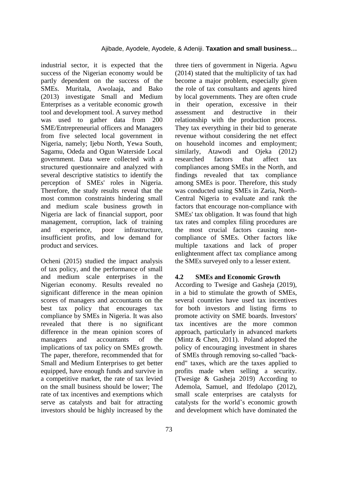industrial sector, it is expected that the success of the Nigerian economy would be partly dependent on the success of the SMEs. Muritala, Awolaaja, and Bako (2013) investigate Small and Medium Enterprises as a veritable economic growth tool and development tool. A survey method was used to gather data from 200 SME/Entrepreneurial officers and Managers from five selected local government in Nigeria, namely; Ijebu North, Yewa South, Sagamu, Odeda and Ogun Waterside Local government. Data were collected with a structured questionnaire and analyzed with several descriptive statistics to identify the perception of SMEs' roles in Nigeria. Therefore, the study results reveal that the most common constraints hindering small and medium scale business growth in Nigeria are lack of financial support, poor management, corruption, lack of training and experience, poor infrastructure, insufficient profits, and low demand for product and services.

Ocheni (2015) studied the impact analysis of tax policy, and the performance of small and medium scale enterprises in the Nigerian economy. Results revealed no significant difference in the mean opinion scores of managers and accountants on the best tax policy that encourages tax compliance by SMEs in Nigeria. It was also revealed that there is no significant difference in the mean opinion scores of managers and accountants of the implications of tax policy on SMEs growth. The paper, therefore, recommended that for Small and Medium Enterprises to get better equipped, have enough funds and survive in a competitive market, the rate of tax levied on the small business should be lower; The rate of tax incentives and exemptions which serve as catalysts and bait for attracting investors should be highly increased by the

three tiers of government in Nigeria. Agwu (2014) stated that the multiplicity of tax had become a major problem, especially given the role of tax consultants and agents hired by local governments. They are often crude in their operation, excessive in their assessment and destructive in their relationship with the production process. They tax everything in their bid to generate revenue without considering the net effect on household incomes and employment; similarly, Atawodi and Ojeka (2012) researched factors that affect tax compliances among SMEs in the North, and findings revealed that tax compliance among SMEs is poor. Therefore, this study was conducted using SMEs in Zaria, North-Central Nigeria to evaluate and rank the factors that encourage non-compliance with SMEs' tax obligation. It was found that high tax rates and complex filing procedures are the most crucial factors causing noncompliance of SMEs. Other factors like multiple taxations and lack of proper enlightenment affect tax compliance among the SMEs surveyed only to a lesser extent.

### **4.2 SMEs and Economic Growth**

According to Twesige and Gasheja (2019), in a bid to stimulate the growth of SMEs, several countries have used tax incentives for both investors and listing firms to promote activity on SME boards. Investors' tax incentives are the more common approach, particularly in advanced markets (Mintz & Chen, 2011). Poland adopted the policy of encouraging investment in shares of SMEs through removing so-called "backend" taxes, which are the taxes applied to profits made when selling a security. (Twesige & Gasheja 2019) According to Ademola, Samuel, and Ifedolapo (2012), small scale enterprises are catalysts for catalysts for the world's economic growth and development which have dominated the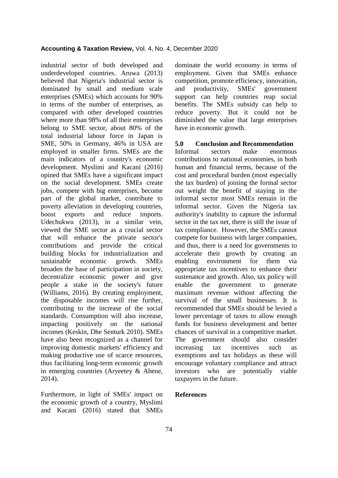industrial sector of both developed and underdeveloped countries. Aruwa (2013) believed that Nigeria's industrial sector is dominated by small and medium scale enterprises (SMEs) which accounts for 90% in terms of the number of enterprises, as compared with other developed countries where more than 98% of all their enterprises belong to SME sector, about 80% of the total industrial labour force in Japan is SME, 50% in Germany, 46% in USA are employed in smaller firms. SMEs are the main indicators of a country's economic development. Myslimi and Kacani (2016) opined that SMEs have a significant impact on the social development. SMEs create jobs, compete with big enterprises, become part of the global market, contribute to poverty alleviation in developing countries, boost exports and reduce imports. Udechukwu (2013), in a similar vein, viewed the SME sector as a crucial sector that will enhance the private sector's contributions and provide the critical building blocks for industrialization and sustainable economic growth. SMEs broaden the base of participation in society, decentralize economic power and give people a stake in the society's future (Williams, 2016). By creating employment, the disposable incomes will rise further, contributing to the increase of the social standards. Consumption will also increase, impacting positively on the national incomes (Keskin, Dhe Senturk 2010). SMEs have also been recognized as a channel for improving domestic markets' efficiency and making productive use of scarce resources, thus facilitating long-term economic growth in emerging countries (Aryeetey & Ahene, 2014).

Furthermore, in light of SMEs' impact on the economic growth of a country, Myslimi and Kacani (2016) stated that SMEs

dominate the world economy in terms of employment. Given that SMEs enhance competition, promote efficiency, innovation, and productivity, SMEs' government support can help countries reap social benefits. The SMEs subsidy can help to reduce poverty. But it could not be diminished the value that large enterprises have in economic growth.

### **5.0 Conclusion and Recommendation**

Informal sectors make enormous contributions to national economies, in both human and financial terms, because of the cost and procedural burden (most especially the tax burden) of joining the formal sector out weight the benefit of staying in the informal sector most SMEs remain in the informal sector. Given the Nigeria tax authority's inability to capture the informal sector in the tax net, there is still the issue of tax compliance. However, the SMEs cannot compete for business with larger companies, and thus, there is a need for governments to accelerate their growth by creating an enabling environment for them via appropriate tax incentives to enhance their sustenance and growth. Also, tax policy will enable the government to generate maximum revenue without affecting the survival of the small businesses. It is recommended that SMEs should be levied a lower percentage of taxes to allow enough funds for business development and better chances of survival in a competitive market. The government should also consider increasing tax incentives such as exemptions and tax holidays as these will encourage voluntary compliance and attract investors who are potentially viable taxpayers in the future.

## **References**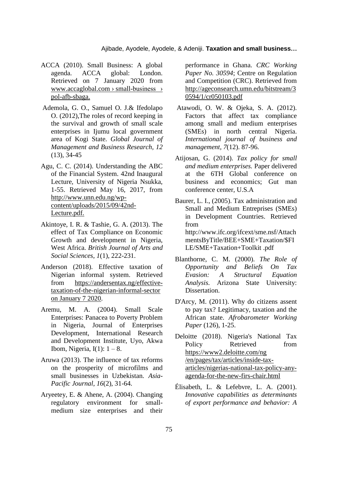- ACCA (2010). Small Business: A global agenda. ACCA global: London. Retrieved on 7 January 2020 from www.accaglobal.com › small-business › pol-afb-sbaga.
- Ademola, G. O., Samuel O. J.& Ifedolapo O. (2012),The roles of record keeping in the survival and growth of small scale enterprises in Ijumu local government area of Kogi State. *Global Journal of Management and Business Research, 12* (13), 34-45
- Agu, C. C. (2014). Understanding the ABC of the Financial System. 42nd Inaugural Lecture, University of Nigeria Nsukka, 1-55. Retrieved May 16, 2017, from [http://www.unn.edu.ng/wp](http://www.unn.edu.ng/wp-content/uploads/2015/09/42nd-Lecture.pdf)[content/uploads/2015/09/42nd-](http://www.unn.edu.ng/wp-content/uploads/2015/09/42nd-Lecture.pdf)[Lecture.pdf.](http://www.unn.edu.ng/wp-content/uploads/2015/09/42nd-Lecture.pdf)
- Akintoye, I. R. & Tashie, G. A. (2013). The effect of Tax Compliance on Economic Growth and development in Nigeria, West Africa. *British Journal of Arts and Social Sciences*, *1*(1), 222-231.
- Anderson (2018). Effective taxation of Nigerian informal system. Retrieved from [https://andersentax.ng/effective](https://andersentax.ng/effective-taxation-of-the-nigerian-informal-sector%20on%20January%207%202020)[taxation-of-the-nigerian-informal-sector](https://andersentax.ng/effective-taxation-of-the-nigerian-informal-sector%20on%20January%207%202020)  [on January 7 2020.](https://andersentax.ng/effective-taxation-of-the-nigerian-informal-sector%20on%20January%207%202020)
- Aremu, M. A. (2004). Small Scale Enterprises: Panacea to Poverty Problem in Nigeria, Journal of Enterprises Development, International Research and Development Institute, Uyo, Akwa Ibom, Nigeria,  $I(1)$ :  $1 - 8$ .
- Aruwa (2013). The influence of tax reforms on the prosperity of microfilms and small businesses in Uzbekistan. *Asia-Pacific Journal*, *16*(2), 31-64.
- Aryeetey, E. & Ahene, A. (2004). Changing regulatory environment for smallmedium size enterprises and their

performance in Ghana. *CRC Working Paper No. 30594*; Centre on Regulation and Competition (CRC). Retrieved from [http://ageconsearch.umn.edu/bitstream/3](http://ageconsearch.umn.edu/bitstream/30594/1/cr050103.pdf) [0594/1/cr050103.pdf](http://ageconsearch.umn.edu/bitstream/30594/1/cr050103.pdf)

- Atawodi, O. W. & Ojeka, S. A. (2012). Factors that affect tax compliance among small and medium enterprises (SMEs) in north central Nigeria. *International journal of business and management, 7*(12). 87-96.
- Atijosan, G. (2014). *Tax policy for small and medium enterprises.* Paper delivered at the 6TH Global conference on business and economics; Gut man conference center, U.S.A
- Baurer, L. I., (2005). Tax administration and Small and Medium Entreprises (SMEs) in Development Countries. Retrieved from http://www.ifc.org/ifcext/sme.nsf/Attach mentsByTitle/BEE+SME+Taxation/\$FI LE/SME+Taxation+Toolkit .pdf
- Blanthorne, C. M. (2000). *The Role of Opportunity and Beliefs On Tax Evasion: A Structural Equation Analysis.* Arizona State University: Dissertation.
- D'Arcy, M. (2011). Why do citizens assent to pay tax? Legitimacy, taxation and the African state. *Afrobarometer Working Paper* (126), 1-25.
- Deloitte (2018). Nigeria's National Tax Policy Retrieved from [https://www2.deloitte.com/ng](https://www2.deloitte.com/ng%20/en/pages/tax/articles/inside-tax-articles/nigerias-national-tax-policy-any-agenda-for-the-new-firs-chair.html)  [/en/pages/tax/articles/inside-tax](https://www2.deloitte.com/ng%20/en/pages/tax/articles/inside-tax-articles/nigerias-national-tax-policy-any-agenda-for-the-new-firs-chair.html)[articles/nigerias-national-tax-policy-any](https://www2.deloitte.com/ng%20/en/pages/tax/articles/inside-tax-articles/nigerias-national-tax-policy-any-agenda-for-the-new-firs-chair.html)[agenda-for-the-new-firs-chair.html](https://www2.deloitte.com/ng%20/en/pages/tax/articles/inside-tax-articles/nigerias-national-tax-policy-any-agenda-for-the-new-firs-chair.html)
- Élisabeth, L. & Lefebvre, L. A. (2001). *Innovative capabilities as determinants of export performance and behavior: A*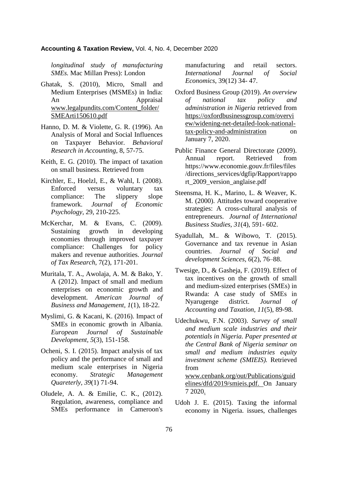### **Accounting & Taxation Review,** Vol. 4, No. 4, December 2020

*longitudinal study of manufacturing SMEs.* Mac Millan Press): London

- Ghatak, S. (2010), Micro, Small and Medium Enterprises (MSMEs) in India: An Appraisal [www.legalpundits.com/Content\\_folder/](http://www.legalpundits.com/Content_folder/SMEArti150610.pdf) [SMEArti150610.pdf](http://www.legalpundits.com/Content_folder/SMEArti150610.pdf)
- Hanno, D. M. & Violette, G. R. (1996). An Analysis of Moral and Social Influences on Taxpayer Behavior. *Behavioral Research in Accounting*, 8, 57-75.
- Keith, E. G. (2010). The impact of taxation on small business. Retrieved from
- Kirchler, E., Hoelzl, E., & Wahl, I. (2008). Enforced versus voluntary tax compliance: The slippery slope framework. *Journal of Economic Psychology*, 29, 210-225.
- McKerchar, M. & Evans, C. (2009). Sustaining growth in developing economies through improved taxpayer compliance: Challenges for policy makers and revenue authorities. *Journal of Tax Research*, 7(2), 171-201.
- Muritala, T. A., Awolaja, A. M. & Bako, Y. A (2012). Impact of small and medium enterprises on economic growth and development. *American Journal of Business and Management, 1*(1), 18-22.
- Myslimi, G. & Kacani, K. (2016). Impact of SMEs in economic growth in Albania. *European Journal of Sustainable Development, 5*(3), 151-158.
- Ocheni, S. I. (2015). Impact analysis of tax policy and the performance of small and medium scale enterprises in Nigeria economy. *Strategic Management Quareterly, 39*(1) 71-94.
- Oludele, A. A. & Emilie, C. K., (2012). Regulation, awareness, compliance and SMEs performance in Cameroon's

manufacturing and retail sectors. *International Journal of Social Economics*, 39(12) 34- 47.

- Oxford Business Group (2019). *An overview of national tax policy and administration in Nigeria* retrieved from [https://oxfordbusinessgroup.com/overvi](https://oxfordbusinessgroup.com/overview/widening-net-detailed-look-national-tax-policy-and-administration) [ew/widening-net-detailed-look-national](https://oxfordbusinessgroup.com/overview/widening-net-detailed-look-national-tax-policy-and-administration)[tax-policy-and-administration](https://oxfordbusinessgroup.com/overview/widening-net-detailed-look-national-tax-policy-and-administration) on January 7, 2020.
- Public Finance General Directorate (2009). Annual report. Retrieved from https://www.economie.gouv.fr/files/files /directions\_services/dgfip/Rapport/rappo rt\_2009\_version\_anglaise.pdf
- Steensma, H. K., Marino, L. & Weaver, K. M. (2000). Attitudes toward cooperative strategies: A cross-cultural analysis of entrepreneurs. *Journal of International Business Studies, 31*(4), 591- 602.
- Syadullah, M.. & Wibowo, T. (2015). Governance and tax revenue in Asian countries. *Journal of Social and development Sciences, 6*(2), 76–88.
- Twesige, D., & Gasheja, F. (2019). Effect of tax incentives on the growth of small and medium-sized enterprises (SMEs) in Rwanda: A case study of SMEs in Nyarugenge district. *Journal of Accounting and Taxation, 11*(5), 89-98.
- Udechukwu, F.N. (2003). *Survey of small and medium scale industries and their potentials in Nigeria. Paper presented at the Central Bank of Nigeria seminar on small and medium industries equity investment scheme (SMIEIS).* Retrieved from [www.cenbank.org/out/Publications/guid](http://www.cenbank.org/out/Publications/guidelines/dfd/2019/smieis.pdf) [elines/dfd/2019/smieis.pdf.](http://www.cenbank.org/out/Publications/guidelines/dfd/2019/smieis.pdf) On January

7 2020. Udoh J. E. (2015). Taxing the informal

economy in Nigeria. issues, challenges